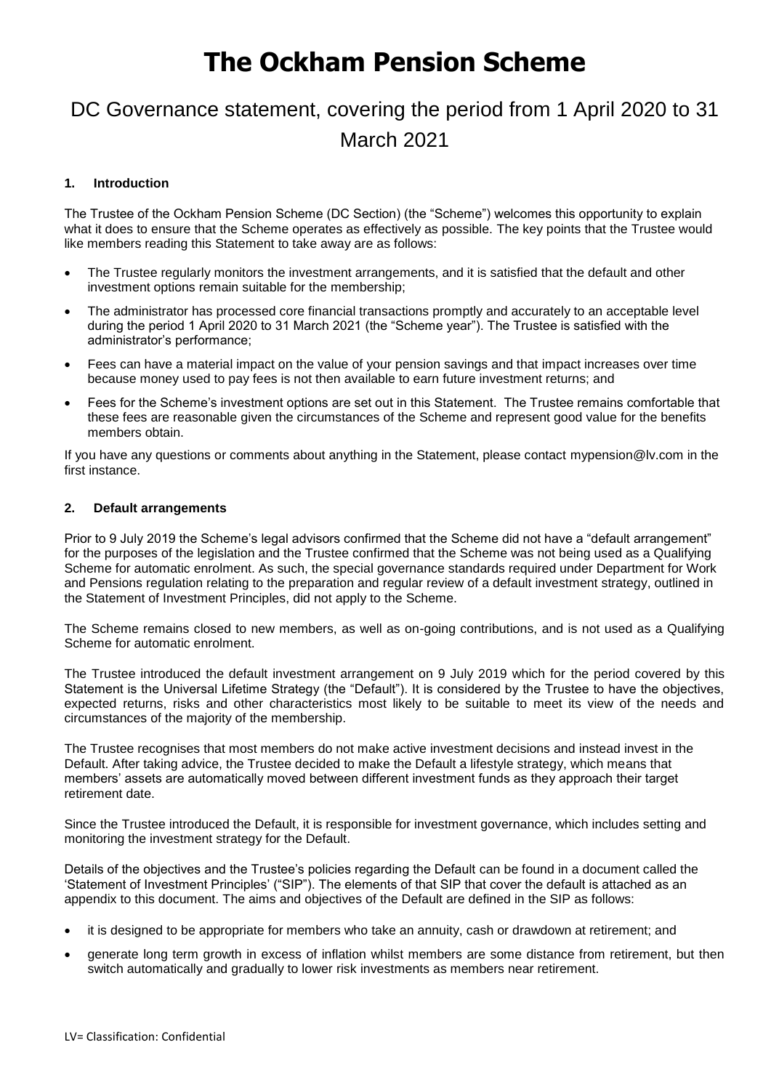# **The Ockham Pension Scheme**

## DC Governance statement, covering the period from 1 April 2020 to 31 March 2021

## **1. Introduction**

The Trustee of the Ockham Pension Scheme (DC Section) (the "Scheme") welcomes this opportunity to explain what it does to ensure that the Scheme operates as effectively as possible. The key points that the Trustee would like members reading this Statement to take away are as follows:

- The Trustee regularly monitors the investment arrangements, and it is satisfied that the default and other investment options remain suitable for the membership;
- The administrator has processed core financial transactions promptly and accurately to an acceptable level during the period 1 April 2020 to 31 March 2021 (the "Scheme year"). The Trustee is satisfied with the administrator's performance;
- Fees can have a material impact on the value of your pension savings and that impact increases over time because money used to pay fees is not then available to earn future investment returns; and
- Fees for the Scheme's investment options are set out in this Statement. The Trustee remains comfortable that these fees are reasonable given the circumstances of the Scheme and represent good value for the benefits members obtain.

If you have any questions or comments about anything in the Statement, please contact [mypension@lv.com](mailto:mypension@lv.com) in the first instance.

## **2. Default arrangements**

Prior to 9 July 2019 the Scheme's legal advisors confirmed that the Scheme did not have a "default arrangement" for the purposes of the legislation and the Trustee confirmed that the Scheme was not being used as a Qualifying Scheme for automatic enrolment. As such, the special governance standards required under Department for Work and Pensions regulation relating to the preparation and regular review of a default investment strategy, outlined in the Statement of Investment Principles, did not apply to the Scheme.

The Scheme remains closed to new members, as well as on-going contributions, and is not used as a Qualifying Scheme for automatic enrolment.

The Trustee introduced the default investment arrangement on 9 July 2019 which for the period covered by this Statement is the Universal Lifetime Strategy (the "Default"). It is considered by the Trustee to have the objectives, expected returns, risks and other characteristics most likely to be suitable to meet its view of the needs and circumstances of the majority of the membership.

The Trustee recognises that most members do not make active investment decisions and instead invest in the Default. After taking advice, the Trustee decided to make the Default a lifestyle strategy, which means that members' assets are automatically moved between different investment funds as they approach their target retirement date.

Since the Trustee introduced the Default, it is responsible for investment governance, which includes setting and monitoring the investment strategy for the Default.

Details of the objectives and the Trustee's policies regarding the Default can be found in a document called the 'Statement of Investment Principles' ("SIP"). The elements of that SIP that cover the default is attached as an appendix to this document. The aims and objectives of the Default are defined in the SIP as follows:

- it is designed to be appropriate for members who take an annuity, cash or drawdown at retirement; and
- generate long term growth in excess of inflation whilst members are some distance from retirement, but then switch automatically and gradually to lower risk investments as members near retirement.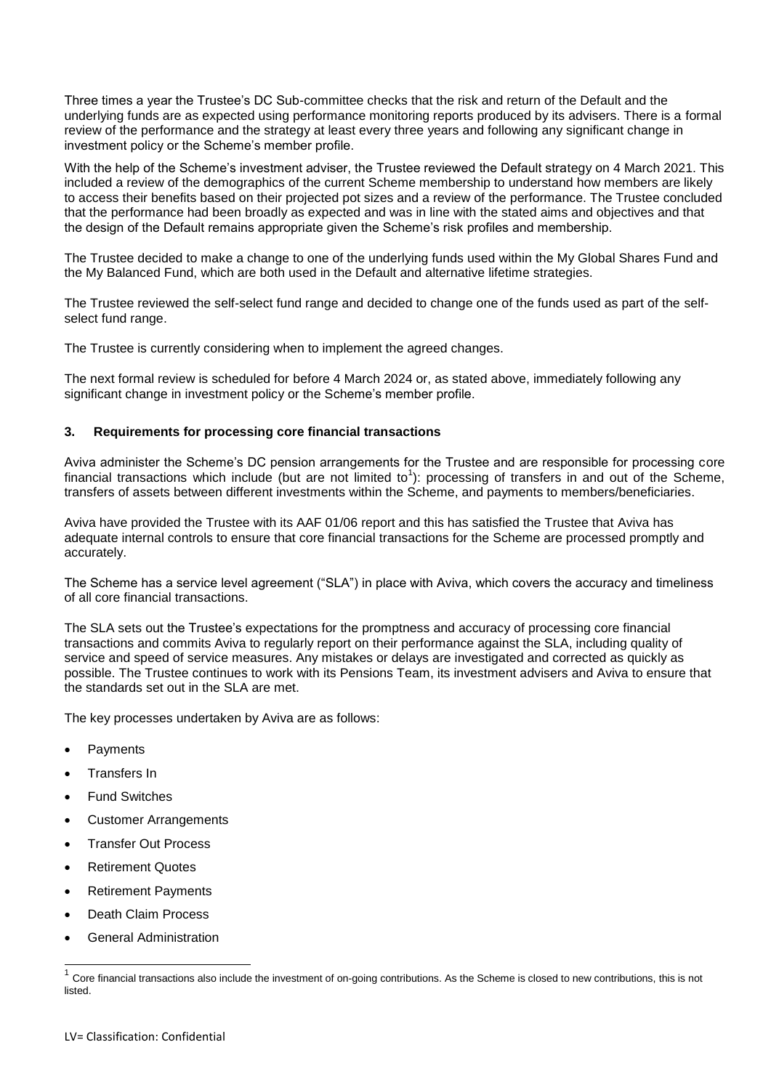Three times a year the Trustee's DC Sub-committee checks that the risk and return of the Default and the underlying funds are as expected using performance monitoring reports produced by its advisers. There is a formal review of the performance and the strategy at least every three years and following any significant change in investment policy or the Scheme's member profile.

With the help of the Scheme's investment adviser, the Trustee reviewed the Default strategy on 4 March 2021. This included a review of the demographics of the current Scheme membership to understand how members are likely to access their benefits based on their projected pot sizes and a review of the performance. The Trustee concluded that the performance had been broadly as expected and was in line with the stated aims and objectives and that the design of the Default remains appropriate given the Scheme's risk profiles and membership.

The Trustee decided to make a change to one of the underlying funds used within the My Global Shares Fund and the My Balanced Fund, which are both used in the Default and alternative lifetime strategies.

The Trustee reviewed the self-select fund range and decided to change one of the funds used as part of the selfselect fund range.

The Trustee is currently considering when to implement the agreed changes.

The next formal review is scheduled for before 4 March 2024 or, as stated above, immediately following any significant change in investment policy or the Scheme's member profile.

## **3. Requirements for processing core financial transactions**

Aviva administer the Scheme's DC pension arrangements for the Trustee and are responsible for processing core financial transactions which include (but are not limited to<sup>1</sup>): processing of transfers in and out of the Scheme, transfers of assets between different investments within the Scheme, and payments to members/beneficiaries.

Aviva have provided the Trustee with its AAF 01/06 report and this has satisfied the Trustee that Aviva has adequate internal controls to ensure that core financial transactions for the Scheme are processed promptly and accurately.

The Scheme has a service level agreement ("SLA") in place with Aviva, which covers the accuracy and timeliness of all core financial transactions.

The SLA sets out the Trustee's expectations for the promptness and accuracy of processing core financial transactions and commits Aviva to regularly report on their performance against the SLA, including quality of service and speed of service measures. Any mistakes or delays are investigated and corrected as quickly as possible. The Trustee continues to work with its Pensions Team, its investment advisers and Aviva to ensure that the standards set out in the SLA are met.

The key processes undertaken by Aviva are as follows:

- Payments
- Transfers In
- Fund Switches
- Customer Arrangements
- Transfer Out Process
- Retirement Quotes
- Retirement Payments
- Death Claim Process

 $\overline{\phantom{a}}$ 

General Administration

<sup>1</sup> Core financial transactions also include the investment of on-going contributions. As the Scheme is closed to new contributions, this is not listed.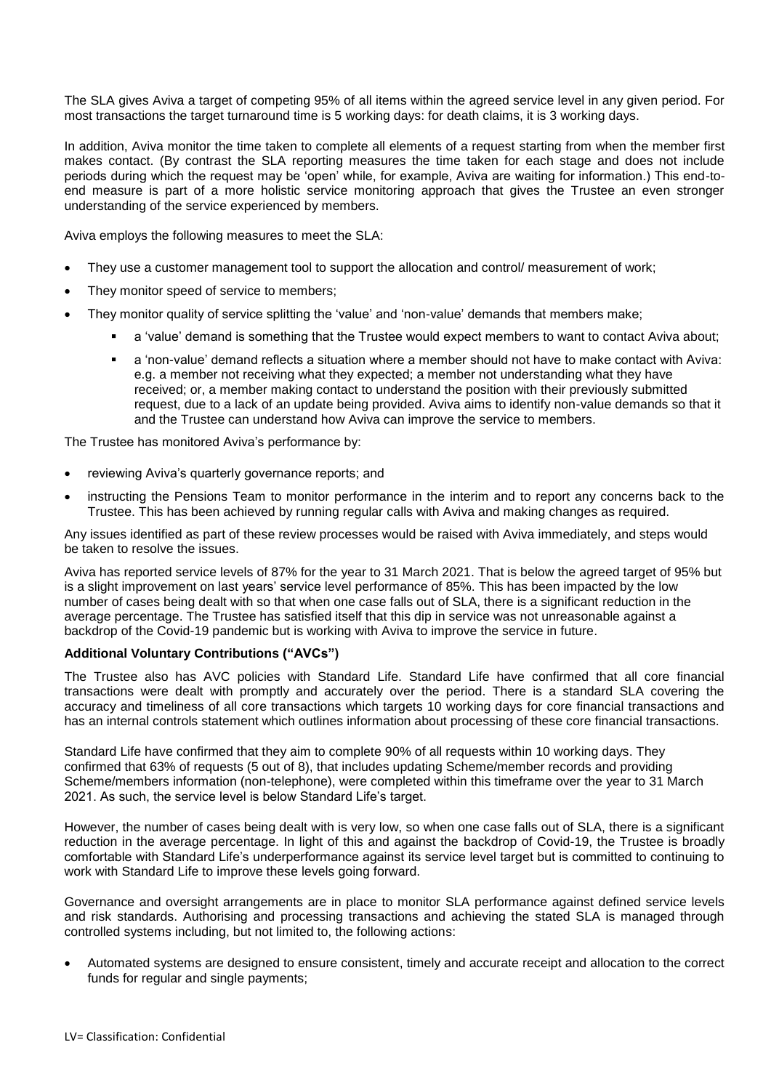The SLA gives Aviva a target of competing 95% of all items within the agreed service level in any given period. For most transactions the target turnaround time is 5 working days: for death claims, it is 3 working days.

In addition, Aviva monitor the time taken to complete all elements of a request starting from when the member first makes contact. (By contrast the SLA reporting measures the time taken for each stage and does not include periods during which the request may be 'open' while, for example, Aviva are waiting for information.) This end-toend measure is part of a more holistic service monitoring approach that gives the Trustee an even stronger understanding of the service experienced by members.

Aviva employs the following measures to meet the SLA:

- They use a customer management tool to support the allocation and control/ measurement of work;
- They monitor speed of service to members;
- They monitor quality of service splitting the 'value' and 'non-value' demands that members make;
	- a 'value' demand is something that the Trustee would expect members to want to contact Aviva about;
	- a 'non-value' demand reflects a situation where a member should not have to make contact with Aviva: e.g. a member not receiving what they expected; a member not understanding what they have received; or, a member making contact to understand the position with their previously submitted request, due to a lack of an update being provided. Aviva aims to identify non-value demands so that it and the Trustee can understand how Aviva can improve the service to members.

The Trustee has monitored Aviva's performance by:

- reviewing Aviva's quarterly governance reports; and
- instructing the Pensions Team to monitor performance in the interim and to report any concerns back to the Trustee. This has been achieved by running regular calls with Aviva and making changes as required.

Any issues identified as part of these review processes would be raised with Aviva immediately, and steps would be taken to resolve the issues.

Aviva has reported service levels of 87% for the year to 31 March 2021. That is below the agreed target of 95% but is a slight improvement on last years' service level performance of 85%. This has been impacted by the low number of cases being dealt with so that when one case falls out of SLA, there is a significant reduction in the average percentage. The Trustee has satisfied itself that this dip in service was not unreasonable against a backdrop of the Covid-19 pandemic but is working with Aviva to improve the service in future.

## **Additional Voluntary Contributions ("AVCs")**

The Trustee also has AVC policies with Standard Life. Standard Life have confirmed that all core financial transactions were dealt with promptly and accurately over the period. There is a standard SLA covering the accuracy and timeliness of all core transactions which targets 10 working days for core financial transactions and has an internal controls statement which outlines information about processing of these core financial transactions.

Standard Life have confirmed that they aim to complete 90% of all requests within 10 working days. They confirmed that 63% of requests (5 out of 8), that includes updating Scheme/member records and providing Scheme/members information (non-telephone), were completed within this timeframe over the year to 31 March 2021. As such, the service level is below Standard Life's target.

However, the number of cases being dealt with is very low, so when one case falls out of SLA, there is a significant reduction in the average percentage. In light of this and against the backdrop of Covid-19, the Trustee is broadly comfortable with Standard Life's underperformance against its service level target but is committed to continuing to work with Standard Life to improve these levels going forward.

Governance and oversight arrangements are in place to monitor SLA performance against defined service levels and risk standards. Authorising and processing transactions and achieving the stated SLA is managed through controlled systems including, but not limited to, the following actions:

 Automated systems are designed to ensure consistent, timely and accurate receipt and allocation to the correct funds for regular and single payments;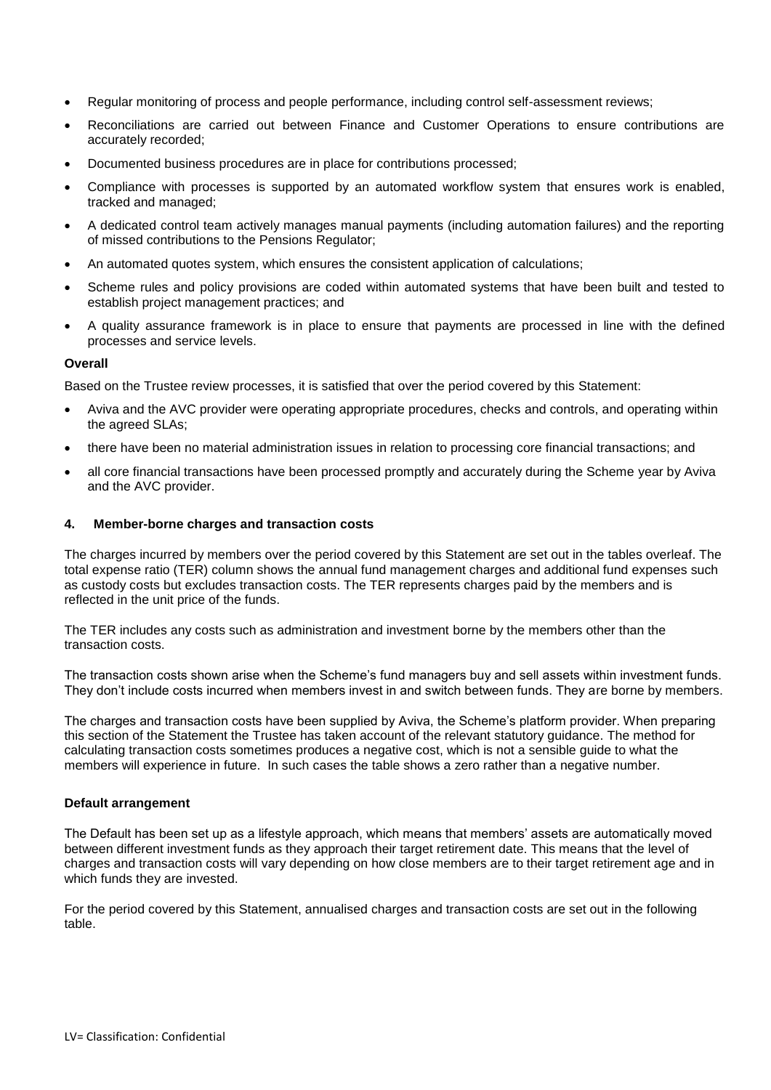- Regular monitoring of process and people performance, including control self-assessment reviews;
- Reconciliations are carried out between Finance and Customer Operations to ensure contributions are accurately recorded;
- Documented business procedures are in place for contributions processed;
- Compliance with processes is supported by an automated workflow system that ensures work is enabled, tracked and managed;
- A dedicated control team actively manages manual payments (including automation failures) and the reporting of missed contributions to the Pensions Regulator;
- An automated quotes system, which ensures the consistent application of calculations;
- Scheme rules and policy provisions are coded within automated systems that have been built and tested to establish project management practices; and
- A quality assurance framework is in place to ensure that payments are processed in line with the defined processes and service levels.

#### **Overall**

Based on the Trustee review processes, it is satisfied that over the period covered by this Statement:

- Aviva and the AVC provider were operating appropriate procedures, checks and controls, and operating within the agreed SLAs;
- there have been no material administration issues in relation to processing core financial transactions; and
- all core financial transactions have been processed promptly and accurately during the Scheme year by Aviva and the AVC provider.

#### **4. Member-borne charges and transaction costs**

The charges incurred by members over the period covered by this Statement are set out in the tables overleaf. The total expense ratio (TER) column shows the annual fund management charges and additional fund expenses such as custody costs but excludes transaction costs. The TER represents charges paid by the members and is reflected in the unit price of the funds.

The TER includes any costs such as administration and investment borne by the members other than the transaction costs.

The transaction costs shown arise when the Scheme's fund managers buy and sell assets within investment funds. They don't include costs incurred when members invest in and switch between funds. They are borne by members.

The charges and transaction costs have been supplied by Aviva, the Scheme's platform provider. When preparing this section of the Statement the Trustee has taken account of the relevant statutory guidance. The method for calculating transaction costs sometimes produces a negative cost, which is not a sensible guide to what the members will experience in future. In such cases the table shows a zero rather than a negative number.

#### **Default arrangement**

The Default has been set up as a lifestyle approach, which means that members' assets are automatically moved between different investment funds as they approach their target retirement date. This means that the level of charges and transaction costs will vary depending on how close members are to their target retirement age and in which funds they are invested.

For the period covered by this Statement, annualised charges and transaction costs are set out in the following table.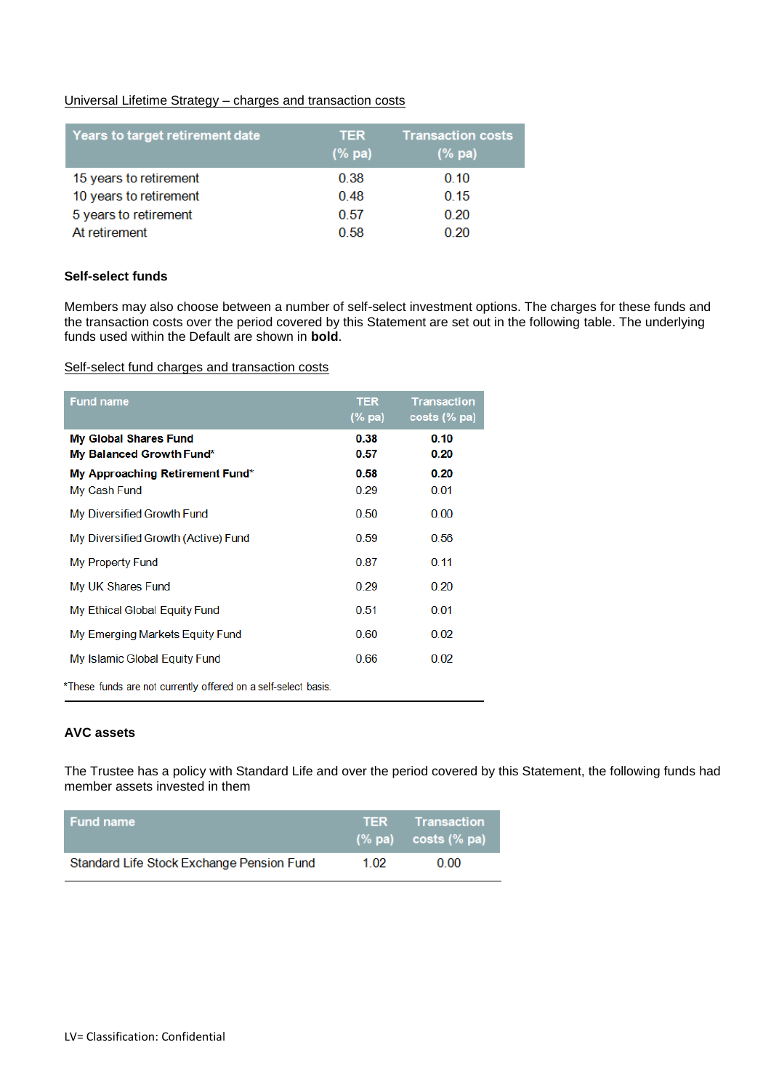## Universal Lifetime Strategy – charges and transaction costs

| Years to target retirement date | <b>TER</b><br>$(\%$ pa) | <b>Transaction costs</b><br>(% pa) |
|---------------------------------|-------------------------|------------------------------------|
| 15 years to retirement          | 0.38                    | 0.10                               |
| 10 years to retirement          | 0.48                    | 0.15                               |
| 5 years to retirement           | 0.57                    | 0,20                               |
| At retirement                   | 0.58                    | 0,20                               |

## **Self-select funds**

Members may also choose between a number of self-select investment options. The charges for these funds and the transaction costs over the period covered by this Statement are set out in the following table. The underlying funds used within the Default are shown in **bold**.

Self-select fund charges and transaction costs

| <b>Fund name</b>                                               | <b>TER</b><br>(% pa) | <b>Transaction</b><br>$costs$ (% pa) |  |  |  |
|----------------------------------------------------------------|----------------------|--------------------------------------|--|--|--|
| My Global Shares Fund<br>My Balanced Growth Fund*              | 0.38<br>0.57         | 0.10<br>0.20                         |  |  |  |
| My Approaching Retirement Fund*                                | 0.58                 | 0.20                                 |  |  |  |
| My Cash Fund                                                   | 0.29                 | 0.01                                 |  |  |  |
| My Diversified Growth Fund                                     | 0.50                 | 0.00                                 |  |  |  |
| My Diversified Growth (Active) Fund                            | 0.59                 | 0.56                                 |  |  |  |
| My Property Fund                                               | 0.87                 | 0.11                                 |  |  |  |
| My UK Shares Fund                                              | 0.29                 | 0.20                                 |  |  |  |
| My Ethical Global Equity Fund                                  | 0.51                 | 0.01                                 |  |  |  |
| My Emerging Markets Equity Fund                                | 0.60                 | 0.02                                 |  |  |  |
| My Islamic Global Equity Fund                                  | 0.66                 | 0.02                                 |  |  |  |
| *These funds are not currently offered on a self-select basis. |                      |                                      |  |  |  |

## **AVC assets**

The Trustee has a policy with Standard Life and over the period covered by this Statement, the following funds had member assets invested in them

| ∣ Fund name⊹                              |      | <b>TER</b> Transaction<br>$(\%$ pa) costs $(\%$ pa) |
|-------------------------------------------|------|-----------------------------------------------------|
| Standard Life Stock Exchange Pension Fund | 1.02 | 0.00                                                |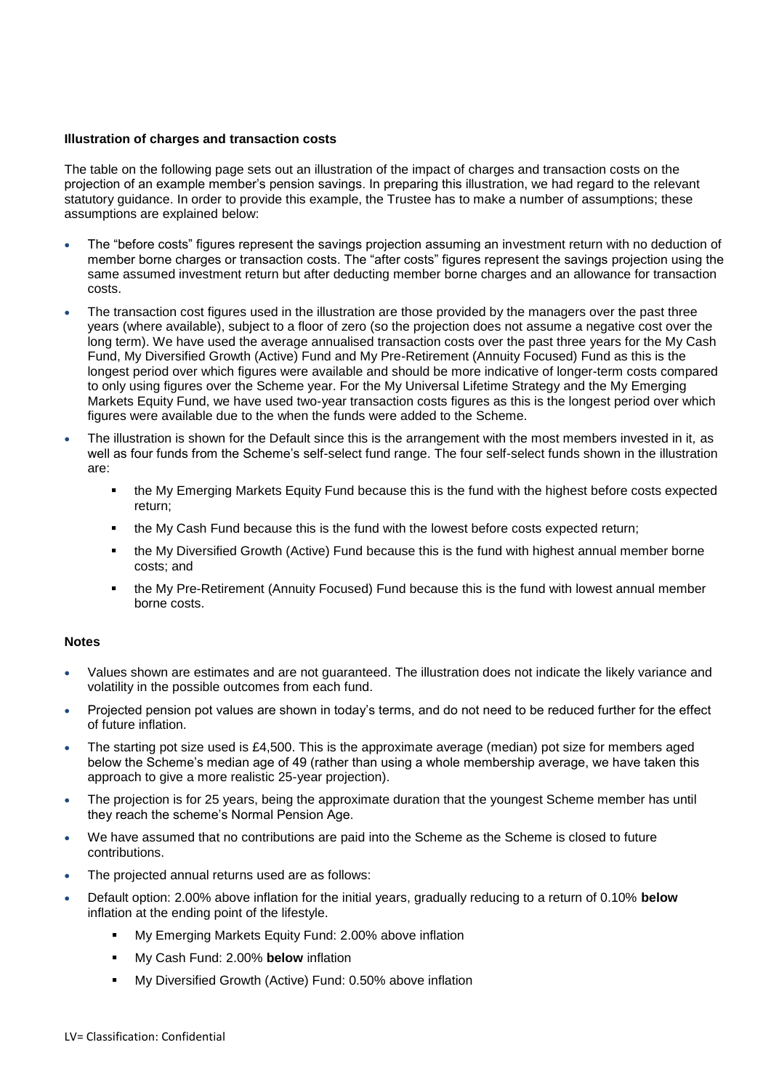## **Illustration of charges and transaction costs**

The table on the following page sets out an illustration of the impact of charges and transaction costs on the projection of an example member's pension savings. In preparing this illustration, we had regard to the relevant statutory guidance. In order to provide this example, the Trustee has to make a number of assumptions; these assumptions are explained below:

- The "before costs" figures represent the savings projection assuming an investment return with no deduction of member borne charges or transaction costs. The "after costs" figures represent the savings projection using the same assumed investment return but after deducting member borne charges and an allowance for transaction costs.
- The transaction cost figures used in the illustration are those provided by the managers over the past three years (where available), subject to a floor of zero (so the projection does not assume a negative cost over the long term). We have used the average annualised transaction costs over the past three years for the My Cash Fund, My Diversified Growth (Active) Fund and My Pre-Retirement (Annuity Focused) Fund as this is the longest period over which figures were available and should be more indicative of longer-term costs compared to only using figures over the Scheme year. For the My Universal Lifetime Strategy and the My Emerging Markets Equity Fund, we have used two-year transaction costs figures as this is the longest period over which figures were available due to the when the funds were added to the Scheme.
- The illustration is shown for the Default since this is the arrangement with the most members invested in it*,* as well as four funds from the Scheme's self-select fund range. The four self-select funds shown in the illustration are:
	- the My Emerging Markets Equity Fund because this is the fund with the highest before costs expected return;
	- the My Cash Fund because this is the fund with the lowest before costs expected return;
	- the My Diversified Growth (Active) Fund because this is the fund with highest annual member borne costs; and
	- the My Pre-Retirement (Annuity Focused) Fund because this is the fund with lowest annual member borne costs.

## **Notes**

- Values shown are estimates and are not guaranteed. The illustration does not indicate the likely variance and volatility in the possible outcomes from each fund.
- Projected pension pot values are shown in today's terms, and do not need to be reduced further for the effect of future inflation.
- The starting pot size used is £4,500. This is the approximate average (median) pot size for members aged below the Scheme's median age of 49 (rather than using a whole membership average, we have taken this approach to give a more realistic 25-year projection).
- The projection is for 25 years, being the approximate duration that the youngest Scheme member has until they reach the scheme's Normal Pension Age.
- We have assumed that no contributions are paid into the Scheme as the Scheme is closed to future contributions.
- The projected annual returns used are as follows:
- Default option: 2.00% above inflation for the initial years, gradually reducing to a return of 0.10% **below** inflation at the ending point of the lifestyle.
	- My Emerging Markets Equity Fund: 2.00% above inflation
	- My Cash Fund: 2.00% **below** inflation
	- My Diversified Growth (Active) Fund: 0.50% above inflation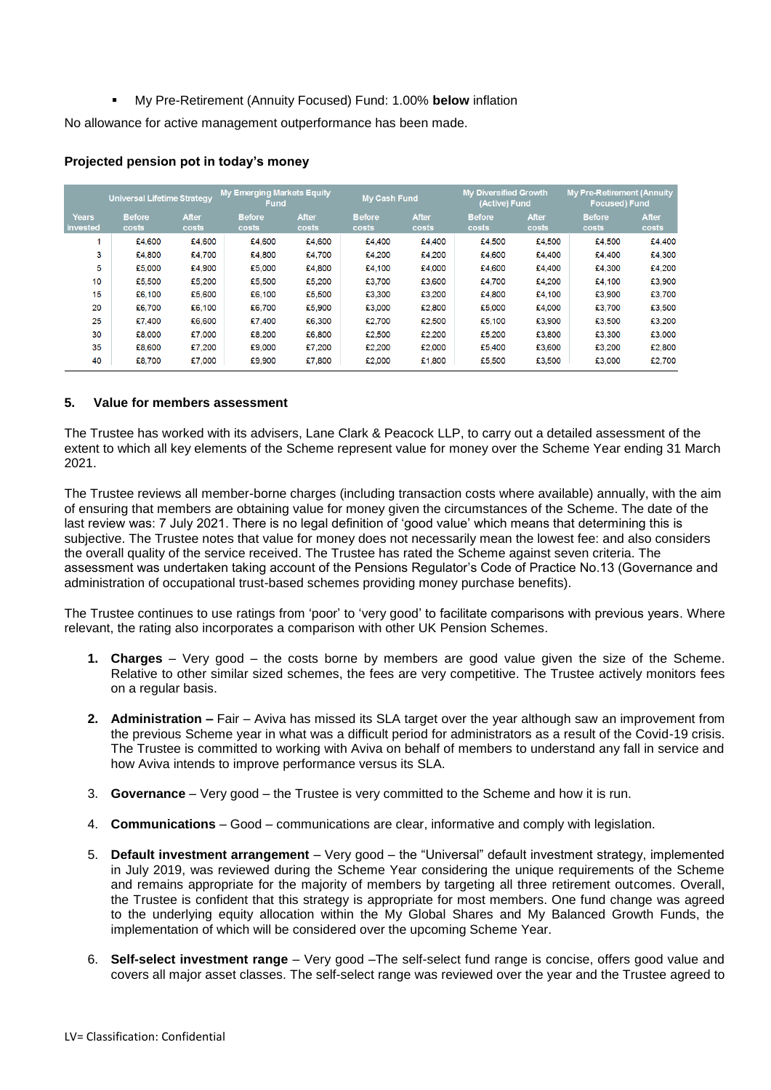My Pre-Retirement (Annuity Focused) Fund: 1.00% **below** inflation

No allowance for active management outperformance has been made.

|                          | <b>Universal Lifetime Strategy</b> |                       | <b>My Emerging Markets Equity</b><br>Fund |                       | <b>My Cash Fund</b>    |                       | <b>My Diversified Growth</b><br>(Active) Fund |                       | <b>My Pre-Retirement (Annuity</b><br><b>Focused) Fund</b> |                |
|--------------------------|------------------------------------|-----------------------|-------------------------------------------|-----------------------|------------------------|-----------------------|-----------------------------------------------|-----------------------|-----------------------------------------------------------|----------------|
| <b>Years</b><br>invested | <b>Before</b><br>costs             | <b>After</b><br>costs | <b>Before</b><br>costs                    | <b>After</b><br>costs | <b>Before</b><br>costs | <b>After</b><br>costs | <b>Before</b><br>costs                        | <b>After</b><br>costs | <b>Before</b><br>costs                                    | After<br>costs |
|                          | £4,600                             | £4,600                | £4,600                                    | £4.600                | £4.400                 | £4.400                | £4,500                                        | £4,500                | £4,500                                                    | £4,400         |
| 3                        | £4,800                             | £4.700                | £4.800                                    | £4,700                | £4.200                 | £4,200                | £4,600                                        | £4.400                | £4,400                                                    | £4,300         |
| 5                        | £5,000                             | £4.900                | £5,000                                    | £4,800                | £4,100                 | £4.000                | £4.600                                        | £4.400                | £4.300                                                    | £4.200         |
| 10                       | £5,500                             | £5,200                | £5,500                                    | £5,200                | £3,700                 | £3,600                | £4,700                                        | £4,200                | £4,100                                                    | £3,900         |
| 15                       | £6,100                             | £5,600                | £6,100                                    | £5,500                | £3,300                 | £3,200                | £4,800                                        | £4.100                | £3,900                                                    | £3,700         |
| 20                       | £6,700                             | £6,100                | £6.700                                    | £5,900                | £3,000                 | £2,800                | £5,000                                        | £4,000                | £3,700                                                    | £3,500         |
| 25                       | £7.400                             | £6,600                | £7,400                                    | £6,300                | £2,700                 | £2,500                | £5,100                                        | £3,900                | £3,500                                                    | £3,200         |
| 30                       | £8,000                             | £7,000                | £8,200                                    | £6,800                | £2,500                 | £2.200                | £5.200                                        | £3,800                | £3,300                                                    | £3,000         |
| 35                       | £8,600                             | £7,200                | £9,000                                    | £7,200                | £2,200                 | £2,000                | £5,400                                        | £3,600                | £3,200                                                    | £2,800         |
| 40                       | £8,700                             | £7,000                | £9,900                                    | £7,800                | £2,000                 | £1,800                | £5,500                                        | £3,500                | £3,000                                                    | £2.700         |

## **Projected pension pot in today's money**

## **5. Value for members assessment**

The Trustee has worked with its advisers, Lane Clark & Peacock LLP, to carry out a detailed assessment of the extent to which all key elements of the Scheme represent value for money over the Scheme Year ending 31 March 2021.

The Trustee reviews all member-borne charges (including transaction costs where available) annually, with the aim of ensuring that members are obtaining value for money given the circumstances of the Scheme. The date of the last review was: 7 July 2021. There is no legal definition of 'good value' which means that determining this is subjective. The Trustee notes that value for money does not necessarily mean the lowest fee: and also considers the overall quality of the service received. The Trustee has rated the Scheme against seven criteria. The assessment was undertaken taking account of the Pensions Regulator's Code of Practice No.13 (Governance and administration of occupational trust-based schemes providing money purchase benefits).

The Trustee continues to use ratings from 'poor' to 'very good' to facilitate comparisons with previous years. Where relevant, the rating also incorporates a comparison with other UK Pension Schemes.

- **1. Charges** Very good the costs borne by members are good value given the size of the Scheme. Relative to other similar sized schemes, the fees are very competitive. The Trustee actively monitors fees on a regular basis.
- **2. Administration –** Fair Aviva has missed its SLA target over the year although saw an improvement from the previous Scheme year in what was a difficult period for administrators as a result of the Covid-19 crisis. The Trustee is committed to working with Aviva on behalf of members to understand any fall in service and how Aviva intends to improve performance versus its SLA.
- 3. **Governance** Very good the Trustee is very committed to the Scheme and how it is run.
- 4. **Communications**  Good communications are clear, informative and comply with legislation.
- 5. **Default investment arrangement** Very good the "Universal" default investment strategy, implemented in July 2019, was reviewed during the Scheme Year considering the unique requirements of the Scheme and remains appropriate for the majority of members by targeting all three retirement outcomes. Overall, the Trustee is confident that this strategy is appropriate for most members. One fund change was agreed to the underlying equity allocation within the My Global Shares and My Balanced Growth Funds, the implementation of which will be considered over the upcoming Scheme Year.
- 6. **Self-select investment range** Very good –The self-select fund range is concise, offers good value and covers all major asset classes. The self-select range was reviewed over the year and the Trustee agreed to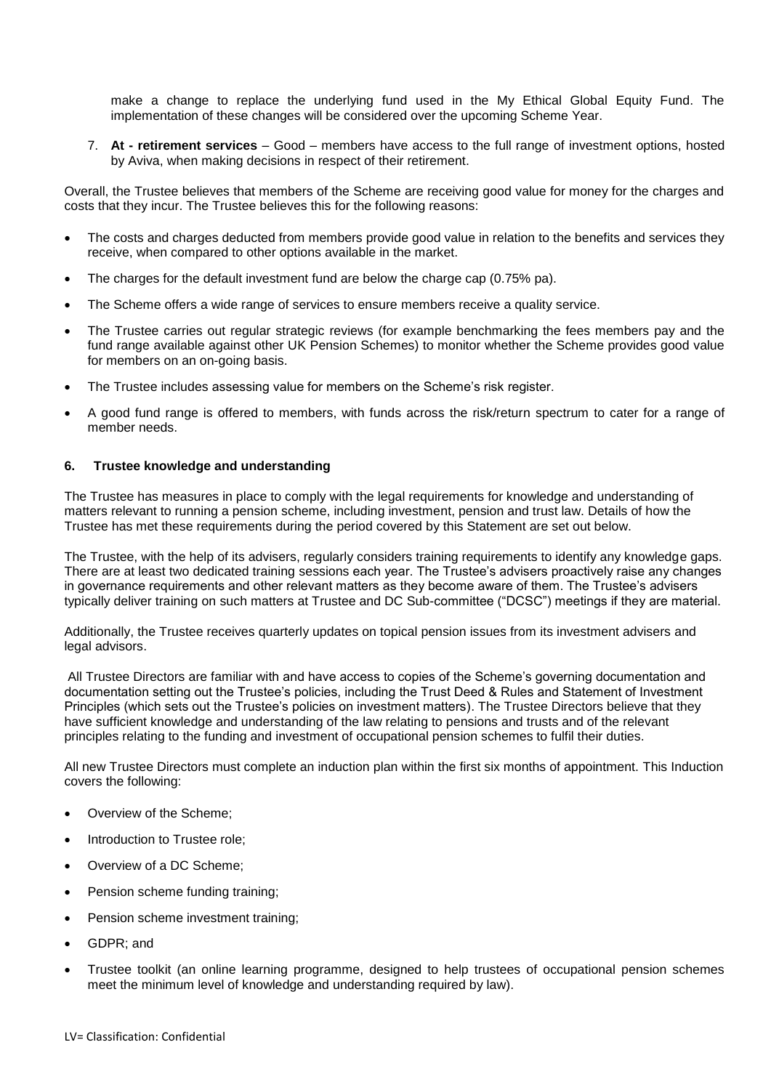make a change to replace the underlying fund used in the My Ethical Global Equity Fund. The implementation of these changes will be considered over the upcoming Scheme Year.

7. **At - retirement services** – Good – members have access to the full range of investment options, hosted by Aviva, when making decisions in respect of their retirement.

Overall, the Trustee believes that members of the Scheme are receiving good value for money for the charges and costs that they incur. The Trustee believes this for the following reasons:

- The costs and charges deducted from members provide good value in relation to the benefits and services they receive, when compared to other options available in the market.
- The charges for the default investment fund are below the charge cap (0.75% pa).
- The Scheme offers a wide range of services to ensure members receive a quality service.
- The Trustee carries out regular strategic reviews (for example benchmarking the fees members pay and the fund range available against other UK Pension Schemes) to monitor whether the Scheme provides good value for members on an on-going basis.
- The Trustee includes assessing value for members on the Scheme's risk register.
- A good fund range is offered to members, with funds across the risk/return spectrum to cater for a range of member needs.

## **6. Trustee knowledge and understanding**

The Trustee has measures in place to comply with the legal requirements for knowledge and understanding of matters relevant to running a pension scheme, including investment, pension and trust law. Details of how the Trustee has met these requirements during the period covered by this Statement are set out below.

The Trustee, with the help of its advisers, regularly considers training requirements to identify any knowledge gaps. There are at least two dedicated training sessions each year. The Trustee's advisers proactively raise any changes in governance requirements and other relevant matters as they become aware of them. The Trustee's advisers typically deliver training on such matters at Trustee and DC Sub-committee ("DCSC") meetings if they are material.

Additionally, the Trustee receives quarterly updates on topical pension issues from its investment advisers and legal advisors.

All Trustee Directors are familiar with and have access to copies of the Scheme's governing documentation and documentation setting out the Trustee's policies, including the Trust Deed & Rules and Statement of Investment Principles (which sets out the Trustee's policies on investment matters). The Trustee Directors believe that they have sufficient knowledge and understanding of the law relating to pensions and trusts and of the relevant principles relating to the funding and investment of occupational pension schemes to fulfil their duties.

All new Trustee Directors must complete an induction plan within the first six months of appointment. This Induction covers the following:

- Overview of the Scheme;
- Introduction to Trustee role;
- Overview of a DC Scheme;
- Pension scheme funding training;
- Pension scheme investment training;
- GDPR; and
- Trustee toolkit (an online learning programme, designed to help trustees of occupational pension schemes meet the minimum level of knowledge and understanding required by law).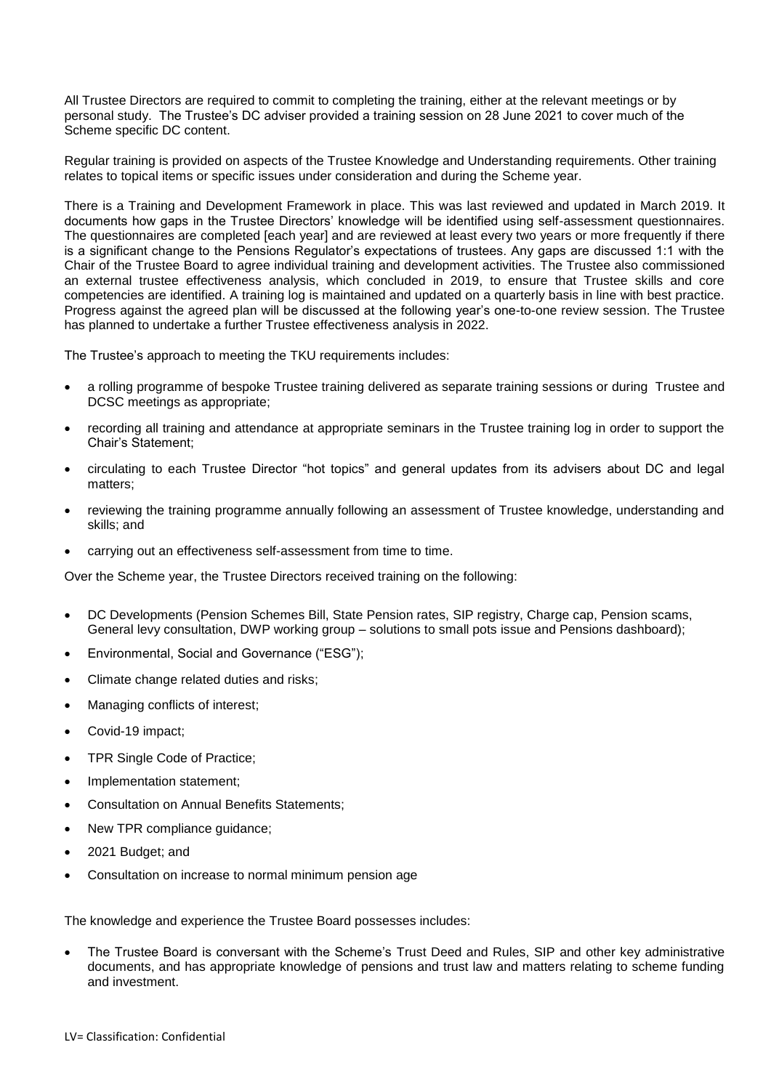All Trustee Directors are required to commit to completing the training, either at the relevant meetings or by personal study. The Trustee's DC adviser provided a training session on 28 June 2021 to cover much of the Scheme specific DC content.

Regular training is provided on aspects of the Trustee Knowledge and Understanding requirements. Other training relates to topical items or specific issues under consideration and during the Scheme year.

There is a Training and Development Framework in place. This was last reviewed and updated in March 2019. It documents how gaps in the Trustee Directors' knowledge will be identified using self-assessment questionnaires. The questionnaires are completed [each year] and are reviewed at least every two years or more frequently if there is a significant change to the Pensions Regulator's expectations of trustees. Any gaps are discussed 1:1 with the Chair of the Trustee Board to agree individual training and development activities. The Trustee also commissioned an external trustee effectiveness analysis, which concluded in 2019, to ensure that Trustee skills and core competencies are identified. A training log is maintained and updated on a quarterly basis in line with best practice. Progress against the agreed plan will be discussed at the following year's one-to-one review session. The Trustee has planned to undertake a further Trustee effectiveness analysis in 2022.

The Trustee's approach to meeting the TKU requirements includes:

- a rolling programme of bespoke Trustee training delivered as separate training sessions or during Trustee and DCSC meetings as appropriate;
- recording all training and attendance at appropriate seminars in the Trustee training log in order to support the Chair's Statement;
- circulating to each Trustee Director "hot topics" and general updates from its advisers about DC and legal matters;
- reviewing the training programme annually following an assessment of Trustee knowledge, understanding and skills; and
- carrying out an effectiveness self-assessment from time to time.

Over the Scheme year, the Trustee Directors received training on the following:

- DC Developments (Pension Schemes Bill, State Pension rates, SIP registry, Charge cap, Pension scams, General levy consultation, DWP working group – solutions to small pots issue and Pensions dashboard);
- Environmental, Social and Governance ("ESG");
- Climate change related duties and risks;
- Managing conflicts of interest;
- Covid-19 impact;
- TPR Single Code of Practice;
- Implementation statement;
- Consultation on Annual Benefits Statements;
- New TPR compliance guidance;
- 2021 Budget; and
- Consultation on increase to normal minimum pension age

The knowledge and experience the Trustee Board possesses includes:

 The Trustee Board is conversant with the Scheme's Trust Deed and Rules, SIP and other key administrative documents, and has appropriate knowledge of pensions and trust law and matters relating to scheme funding and investment.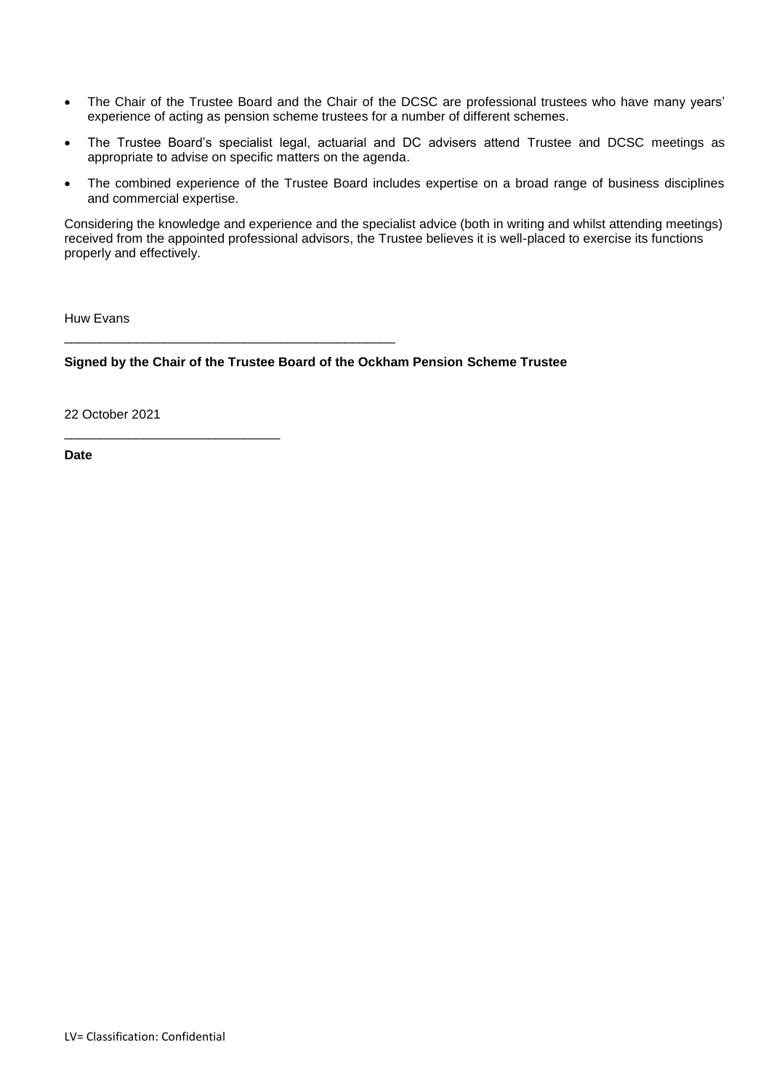- The Chair of the Trustee Board and the Chair of the DCSC are professional trustees who have many years' experience of acting as pension scheme trustees for a number of different schemes.
- The Trustee Board's specialist legal, actuarial and DC advisers attend Trustee and DCSC meetings as appropriate to advise on specific matters on the agenda.
- The combined experience of the Trustee Board includes expertise on a broad range of business disciplines and commercial expertise.

Considering the knowledge and experience and the specialist advice (both in writing and whilst attending meetings) received from the appointed professional advisors, the Trustee believes it is well-placed to exercise its functions properly and effectively.

Huw Evans

**Signed by the Chair of the Trustee Board of the Ockham Pension Scheme Trustee**

\_\_\_\_\_\_\_\_\_\_\_\_\_\_\_\_\_\_\_\_\_\_\_\_\_\_\_\_\_\_\_\_\_\_\_\_\_\_\_\_\_\_\_\_\_\_

22 October 2021

\_\_\_\_\_\_\_\_\_\_\_\_\_\_\_\_\_\_\_\_\_\_\_\_\_\_\_\_\_\_

**Date**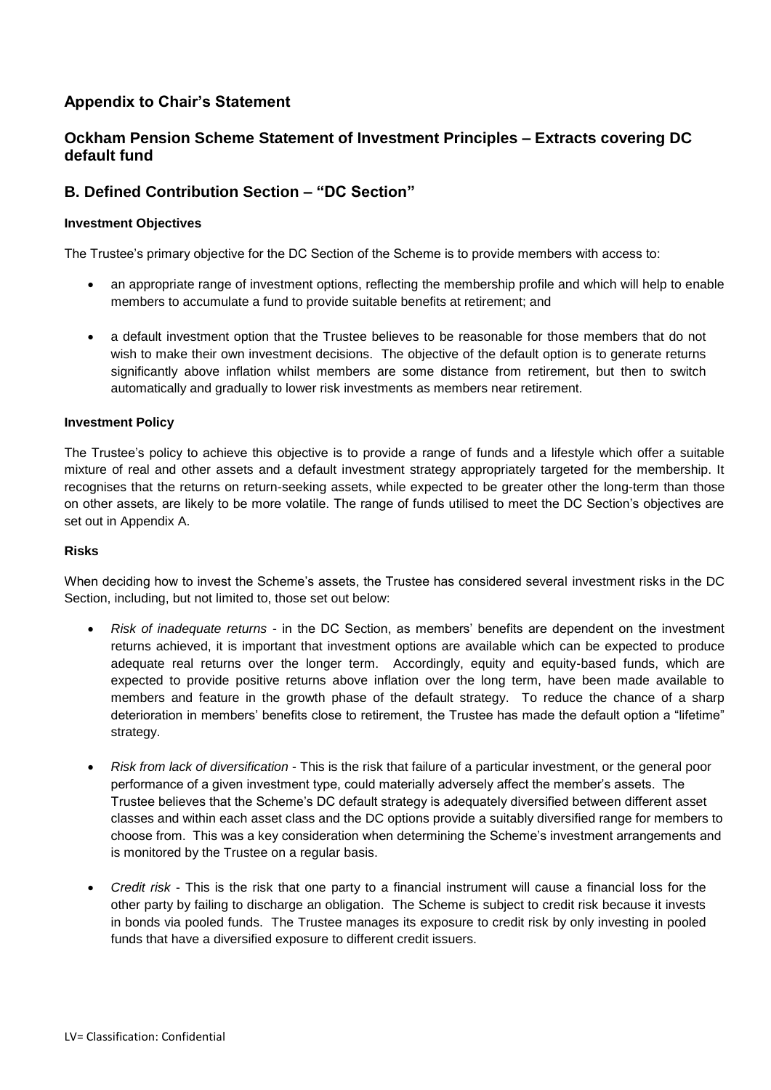## **Appendix to Chair's Statement**

## **Ockham Pension Scheme Statement of Investment Principles – Extracts covering DC default fund**

## **B. Defined Contribution Section – "DC Section"**

## **Investment Objectives**

The Trustee's primary objective for the DC Section of the Scheme is to provide members with access to:

- an appropriate range of investment options, reflecting the membership profile and which will help to enable members to accumulate a fund to provide suitable benefits at retirement; and
- a default investment option that the Trustee believes to be reasonable for those members that do not wish to make their own investment decisions. The objective of the default option is to generate returns significantly above inflation whilst members are some distance from retirement, but then to switch automatically and gradually to lower risk investments as members near retirement.

## **Investment Policy**

The Trustee's policy to achieve this objective is to provide a range of funds and a lifestyle which offer a suitable mixture of real and other assets and a default investment strategy appropriately targeted for the membership. It recognises that the returns on return-seeking assets, while expected to be greater other the long-term than those on other assets, are likely to be more volatile. The range of funds utilised to meet the DC Section's objectives are set out in Appendix A.

## **Risks**

When deciding how to invest the Scheme's assets, the Trustee has considered several investment risks in the DC Section, including, but not limited to, those set out below:

- *Risk of inadequate returns* in the DC Section, as members' benefits are dependent on the investment returns achieved, it is important that investment options are available which can be expected to produce adequate real returns over the longer term. Accordingly, equity and equity-based funds, which are expected to provide positive returns above inflation over the long term, have been made available to members and feature in the growth phase of the default strategy. To reduce the chance of a sharp deterioration in members' benefits close to retirement, the Trustee has made the default option a "lifetime" strategy.
- *Risk from lack of diversification* This is the risk that failure of a particular investment, or the general poor performance of a given investment type, could materially adversely affect the member's assets. The Trustee believes that the Scheme's DC default strategy is adequately diversified between different asset classes and within each asset class and the DC options provide a suitably diversified range for members to choose from. This was a key consideration when determining the Scheme's investment arrangements and is monitored by the Trustee on a regular basis.
- *Credit risk* This is the risk that one party to a financial instrument will cause a financial loss for the other party by failing to discharge an obligation. The Scheme is subject to credit risk because it invests in bonds via pooled funds. The Trustee manages its exposure to credit risk by only investing in pooled funds that have a diversified exposure to different credit issuers.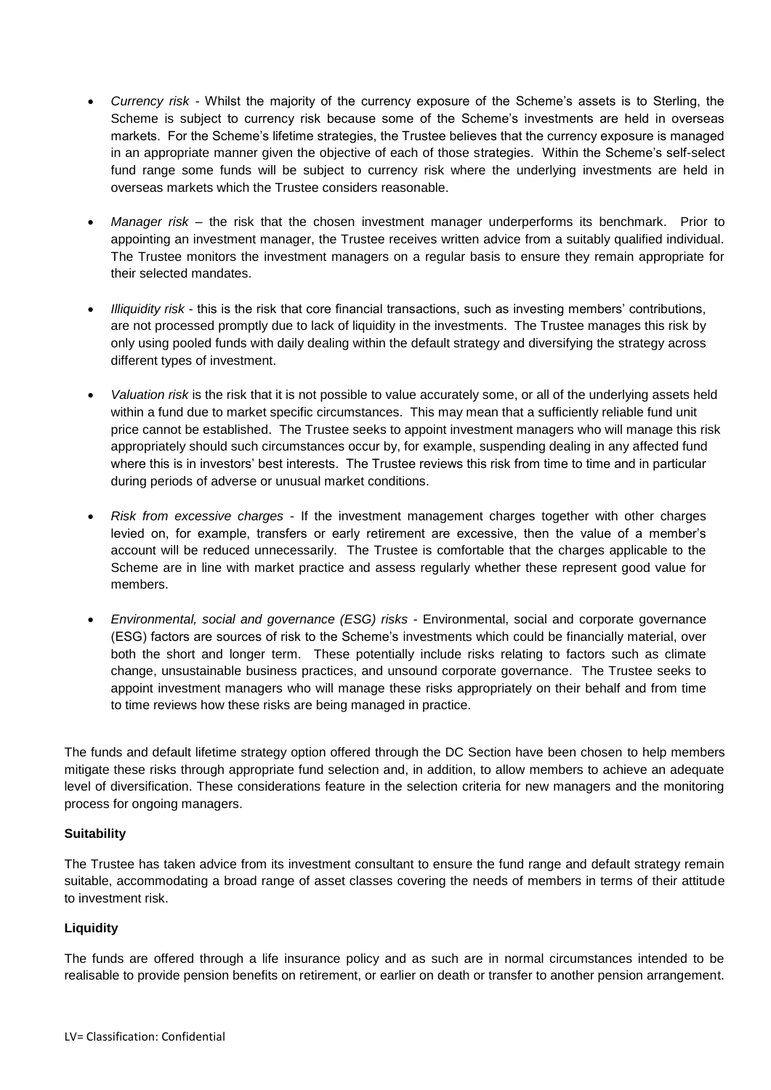- *Currency risk -* Whilst the majority of the currency exposure of the Scheme's assets is to Sterling, the Scheme is subject to currency risk because some of the Scheme's investments are held in overseas markets. For the Scheme's lifetime strategies, the Trustee believes that the currency exposure is managed in an appropriate manner given the objective of each of those strategies. Within the Scheme's self-select fund range some funds will be subject to currency risk where the underlying investments are held in overseas markets which the Trustee considers reasonable.
- *Manager risk*  the risk that the chosen investment manager underperforms its benchmark. Prior to appointing an investment manager, the Trustee receives written advice from a suitably qualified individual. The Trustee monitors the investment managers on a regular basis to ensure they remain appropriate for their selected mandates.
- *Illiquidity risk* this is the risk that core financial transactions, such as investing members' contributions, are not processed promptly due to lack of liquidity in the investments. The Trustee manages this risk by only using pooled funds with daily dealing within the default strategy and diversifying the strategy across different types of investment.
- *Valuation risk* is the risk that it is not possible to value accurately some, or all of the underlying assets held within a fund due to market specific circumstances. This may mean that a sufficiently reliable fund unit price cannot be established. The Trustee seeks to appoint investment managers who will manage this risk appropriately should such circumstances occur by, for example, suspending dealing in any affected fund where this is in investors' best interests. The Trustee reviews this risk from time to time and in particular during periods of adverse or unusual market conditions.
- *Risk from excessive charges* If the investment management charges together with other charges levied on, for example, transfers or early retirement are excessive, then the value of a member's account will be reduced unnecessarily. The Trustee is comfortable that the charges applicable to the Scheme are in line with market practice and assess regularly whether these represent good value for members.
- *Environmental, social and governance (ESG) risks*  Environmental, social and corporate governance (ESG) factors are sources of risk to the Scheme's investments which could be financially material, over both the short and longer term. These potentially include risks relating to factors such as climate change, unsustainable business practices, and unsound corporate governance. The Trustee seeks to appoint investment managers who will manage these risks appropriately on their behalf and from time to time reviews how these risks are being managed in practice.

The funds and default lifetime strategy option offered through the DC Section have been chosen to help members mitigate these risks through appropriate fund selection and, in addition, to allow members to achieve an adequate level of diversification. These considerations feature in the selection criteria for new managers and the monitoring process for ongoing managers.

## **Suitability**

The Trustee has taken advice from its investment consultant to ensure the fund range and default strategy remain suitable, accommodating a broad range of asset classes covering the needs of members in terms of their attitude to investment risk.

## **Liquidity**

The funds are offered through a life insurance policy and as such are in normal circumstances intended to be realisable to provide pension benefits on retirement, or earlier on death or transfer to another pension arrangement.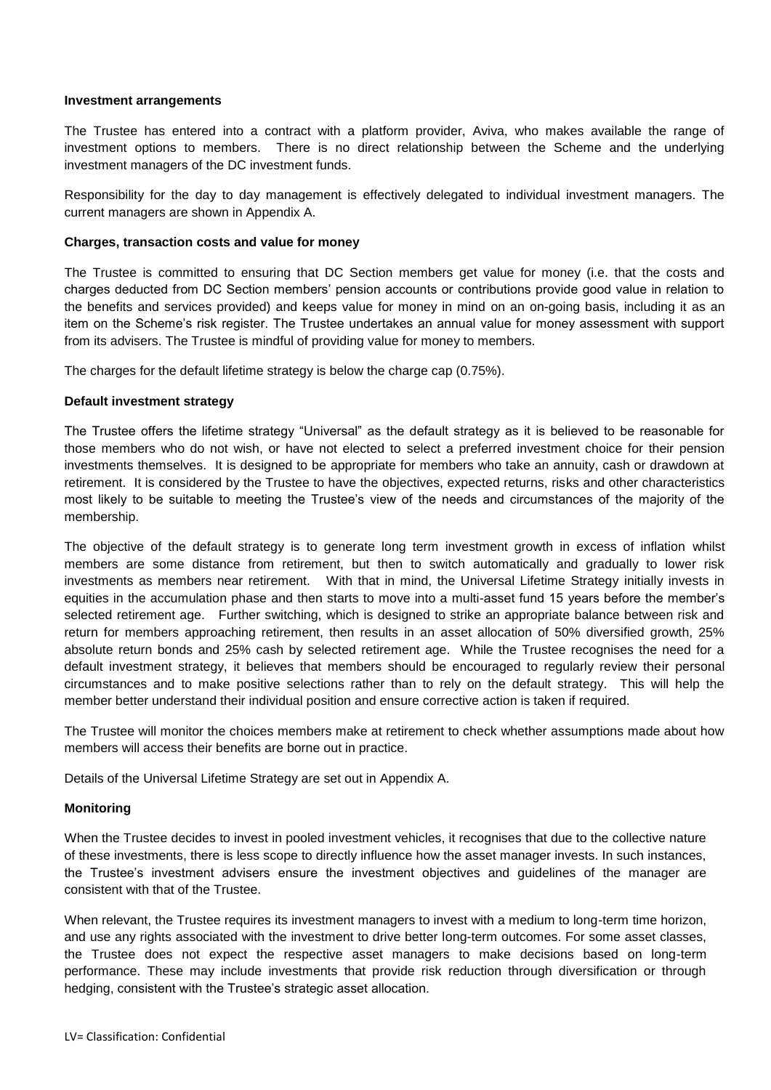## **Investment arrangements**

The Trustee has entered into a contract with a platform provider, Aviva, who makes available the range of investment options to members. There is no direct relationship between the Scheme and the underlying investment managers of the DC investment funds.

Responsibility for the day to day management is effectively delegated to individual investment managers. The current managers are shown in Appendix A.

## **Charges, transaction costs and value for money**

The Trustee is committed to ensuring that DC Section members get value for money (i.e. that the costs and charges deducted from DC Section members' pension accounts or contributions provide good value in relation to the benefits and services provided) and keeps value for money in mind on an on-going basis, including it as an item on the Scheme's risk register. The Trustee undertakes an annual value for money assessment with support from its advisers. The Trustee is mindful of providing value for money to members.

The charges for the default lifetime strategy is below the charge cap (0.75%).

## **Default investment strategy**

The Trustee offers the lifetime strategy "Universal" as the default strategy as it is believed to be reasonable for those members who do not wish, or have not elected to select a preferred investment choice for their pension investments themselves. It is designed to be appropriate for members who take an annuity, cash or drawdown at retirement. It is considered by the Trustee to have the objectives, expected returns, risks and other characteristics most likely to be suitable to meeting the Trustee's view of the needs and circumstances of the majority of the membership.

The objective of the default strategy is to generate long term investment growth in excess of inflation whilst members are some distance from retirement, but then to switch automatically and gradually to lower risk investments as members near retirement. With that in mind, the Universal Lifetime Strategy initially invests in equities in the accumulation phase and then starts to move into a multi-asset fund 15 years before the member's selected retirement age. Further switching, which is designed to strike an appropriate balance between risk and return for members approaching retirement, then results in an asset allocation of 50% diversified growth, 25% absolute return bonds and 25% cash by selected retirement age. While the Trustee recognises the need for a default investment strategy, it believes that members should be encouraged to regularly review their personal circumstances and to make positive selections rather than to rely on the default strategy. This will help the member better understand their individual position and ensure corrective action is taken if required.

The Trustee will monitor the choices members make at retirement to check whether assumptions made about how members will access their benefits are borne out in practice.

Details of the Universal Lifetime Strategy are set out in Appendix A.

## **Monitoring**

When the Trustee decides to invest in pooled investment vehicles, it recognises that due to the collective nature of these investments, there is less scope to directly influence how the asset manager invests. In such instances, the Trustee's investment advisers ensure the investment objectives and guidelines of the manager are consistent with that of the Trustee.

When relevant, the Trustee requires its investment managers to invest with a medium to long-term time horizon, and use any rights associated with the investment to drive better long-term outcomes. For some asset classes, the Trustee does not expect the respective asset managers to make decisions based on long-term performance. These may include investments that provide risk reduction through diversification or through hedging, consistent with the Trustee's strategic asset allocation.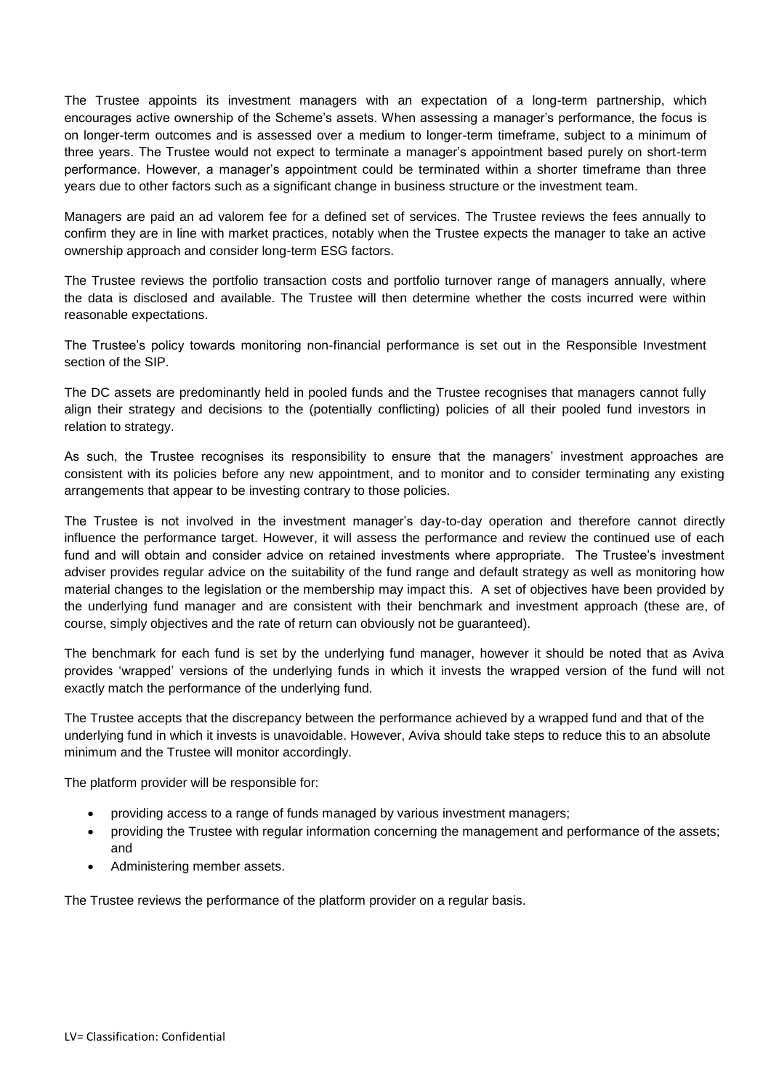The Trustee appoints its investment managers with an expectation of a long-term partnership, which encourages active ownership of the Scheme's assets. When assessing a manager's performance, the focus is on longer-term outcomes and is assessed over a medium to longer-term timeframe, subject to a minimum of three years. The Trustee would not expect to terminate a manager's appointment based purely on short-term performance. However, a manager's appointment could be terminated within a shorter timeframe than three years due to other factors such as a significant change in business structure or the investment team.

Managers are paid an ad valorem fee for a defined set of services. The Trustee reviews the fees annually to confirm they are in line with market practices, notably when the Trustee expects the manager to take an active ownership approach and consider long-term ESG factors.

The Trustee reviews the portfolio transaction costs and portfolio turnover range of managers annually, where the data is disclosed and available. The Trustee will then determine whether the costs incurred were within reasonable expectations.

The Trustee's policy towards monitoring non-financial performance is set out in the Responsible Investment section of the SIP.

The DC assets are predominantly held in pooled funds and the Trustee recognises that managers cannot fully align their strategy and decisions to the (potentially conflicting) policies of all their pooled fund investors in relation to strategy.

As such, the Trustee recognises its responsibility to ensure that the managers' investment approaches are consistent with its policies before any new appointment, and to monitor and to consider terminating any existing arrangements that appear to be investing contrary to those policies.

The Trustee is not involved in the investment manager's day-to-day operation and therefore cannot directly influence the performance target. However, it will assess the performance and review the continued use of each fund and will obtain and consider advice on retained investments where appropriate. The Trustee's investment adviser provides regular advice on the suitability of the fund range and default strategy as well as monitoring how material changes to the legislation or the membership may impact this. A set of objectives have been provided by the underlying fund manager and are consistent with their benchmark and investment approach (these are, of course, simply objectives and the rate of return can obviously not be guaranteed).

The benchmark for each fund is set by the underlying fund manager, however it should be noted that as Aviva provides 'wrapped' versions of the underlying funds in which it invests the wrapped version of the fund will not exactly match the performance of the underlying fund.

The Trustee accepts that the discrepancy between the performance achieved by a wrapped fund and that of the underlying fund in which it invests is unavoidable. However, Aviva should take steps to reduce this to an absolute minimum and the Trustee will monitor accordingly.

The platform provider will be responsible for:

- providing access to a range of funds managed by various investment managers;
- providing the Trustee with regular information concerning the management and performance of the assets; and
- Administering member assets.

The Trustee reviews the performance of the platform provider on a regular basis.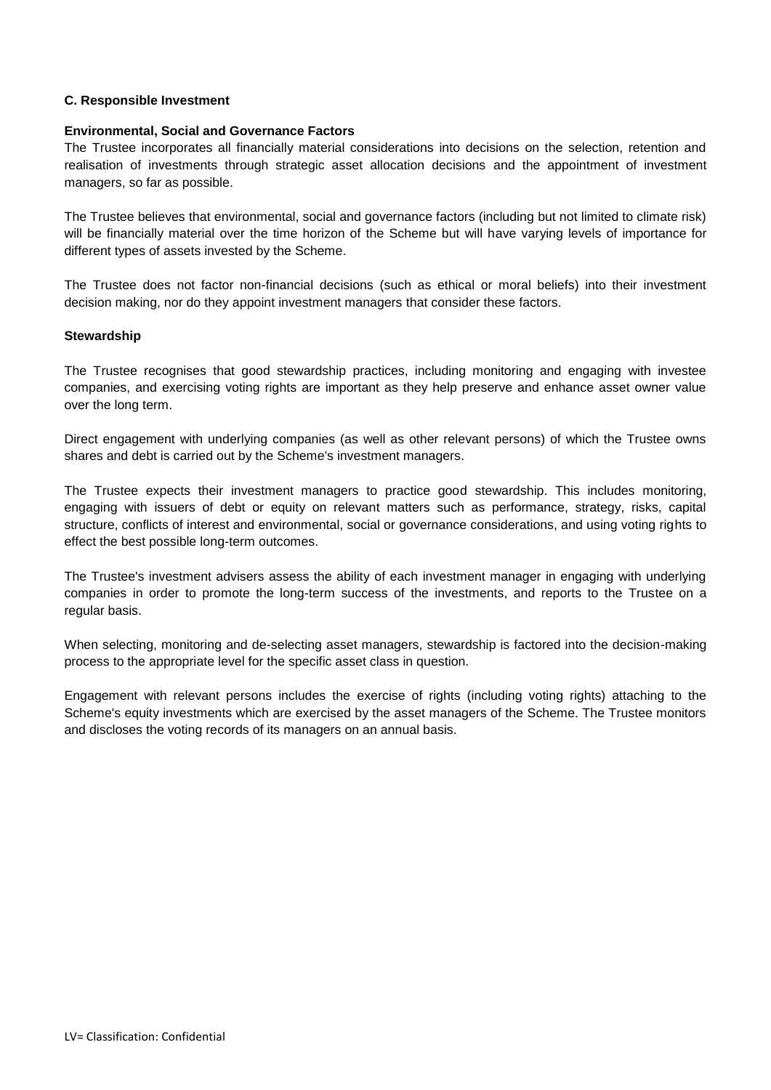## **C. Responsible Investment**

## **Environmental, Social and Governance Factors**

The Trustee incorporates all financially material considerations into decisions on the selection, retention and realisation of investments through strategic asset allocation decisions and the appointment of investment managers, so far as possible.

The Trustee believes that environmental, social and governance factors (including but not limited to climate risk) will be financially material over the time horizon of the Scheme but will have varying levels of importance for different types of assets invested by the Scheme.

The Trustee does not factor non-financial decisions (such as ethical or moral beliefs) into their investment decision making, nor do they appoint investment managers that consider these factors.

## **Stewardship**

The Trustee recognises that good stewardship practices, including monitoring and engaging with investee companies, and exercising voting rights are important as they help preserve and enhance asset owner value over the long term.

Direct engagement with underlying companies (as well as other relevant persons) of which the Trustee owns shares and debt is carried out by the Scheme's investment managers.

The Trustee expects their investment managers to practice good stewardship. This includes monitoring, engaging with issuers of debt or equity on relevant matters such as performance, strategy, risks, capital structure, conflicts of interest and environmental, social or governance considerations, and using voting rights to effect the best possible long-term outcomes.

The Trustee's investment advisers assess the ability of each investment manager in engaging with underlying companies in order to promote the long-term success of the investments, and reports to the Trustee on a regular basis.

When selecting, monitoring and de-selecting asset managers, stewardship is factored into the decision-making process to the appropriate level for the specific asset class in question.

Engagement with relevant persons includes the exercise of rights (including voting rights) attaching to the Scheme's equity investments which are exercised by the asset managers of the Scheme. The Trustee monitors and discloses the voting records of its managers on an annual basis.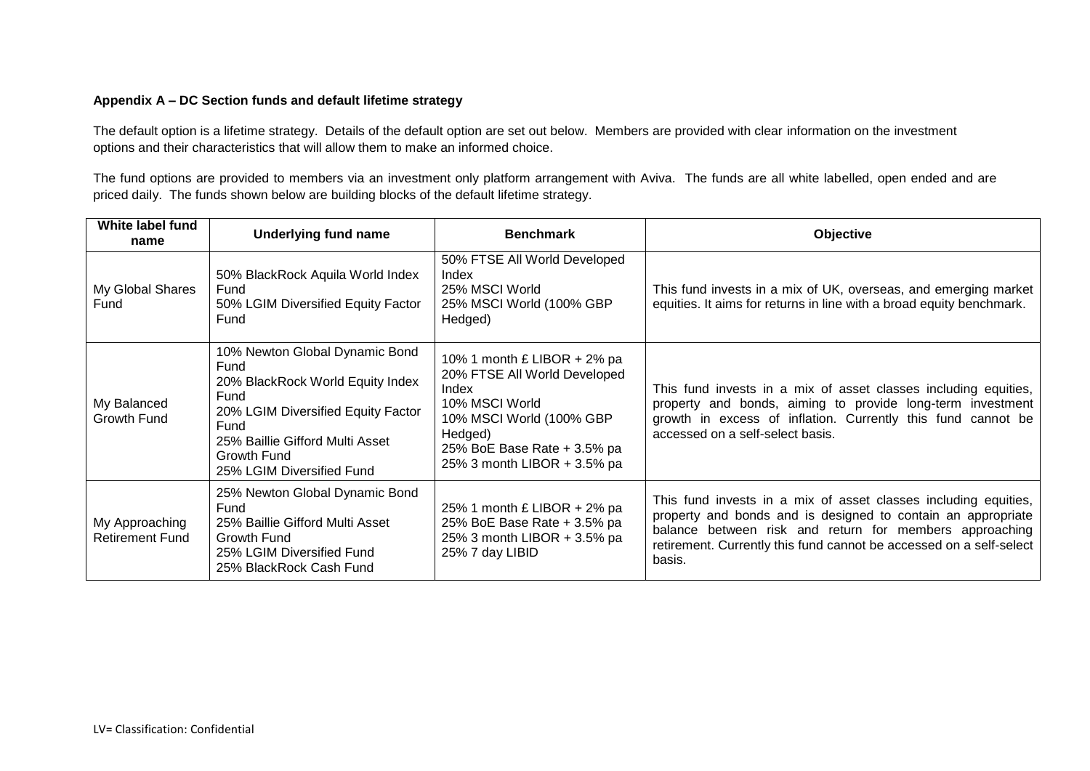## **Appendix A – DC Section funds and default lifetime strategy**

The default option is a lifetime strategy. Details of the default option are set out below. Members are provided with clear information on the investment options and their characteristics that will allow them to make an informed choice.

The fund options are provided to members via an investment only platform arrangement with Aviva. The funds are all white labelled, open ended and are priced daily. The funds shown below are building blocks of the default lifetime strategy.

| White label fund<br>name                 | Underlying fund name                                                                                                                                                                                            | <b>Benchmark</b>                                                                                                                                                                              | Objective                                                                                                                                                                                                                                                                   |
|------------------------------------------|-----------------------------------------------------------------------------------------------------------------------------------------------------------------------------------------------------------------|-----------------------------------------------------------------------------------------------------------------------------------------------------------------------------------------------|-----------------------------------------------------------------------------------------------------------------------------------------------------------------------------------------------------------------------------------------------------------------------------|
| My Global Shares<br>Fund                 | 50% BlackRock Aquila World Index<br>Fund<br>50% LGIM Diversified Equity Factor<br>Fund                                                                                                                          | 50% FTSE All World Developed<br>Index<br>25% MSCI World<br>25% MSCI World (100% GBP<br>Hedged)                                                                                                | This fund invests in a mix of UK, overseas, and emerging market<br>equities. It aims for returns in line with a broad equity benchmark.                                                                                                                                     |
| My Balanced<br>Growth Fund               | 10% Newton Global Dynamic Bond<br>Fund<br>20% BlackRock World Equity Index<br>Fund<br>20% LGIM Diversified Equity Factor<br>Fund<br>25% Baillie Gifford Multi Asset<br>Growth Fund<br>25% LGIM Diversified Fund | 10% 1 month $£$ LIBOR + 2% pa<br>20% FTSE All World Developed<br>Index<br>10% MSCI World<br>10% MSCI World (100% GBP<br>Hedged)<br>25% BoE Base Rate + 3.5% pa<br>25% 3 month LIBOR + 3.5% pa | This fund invests in a mix of asset classes including equities,<br>property and bonds, aiming to provide long-term investment<br>growth in excess of inflation. Currently this fund cannot be<br>accessed on a self-select basis.                                           |
| My Approaching<br><b>Retirement Fund</b> | 25% Newton Global Dynamic Bond<br>Fund<br>25% Baillie Gifford Multi Asset<br>Growth Fund<br>25% LGIM Diversified Fund<br>25% BlackRock Cash Fund                                                                | 25% 1 month £ LIBOR + 2% pa<br>25% BoE Base Rate + 3.5% pa<br>25% 3 month LIBOR + 3.5% pa<br>25% 7 day LIBID                                                                                  | This fund invests in a mix of asset classes including equities,<br>property and bonds and is designed to contain an appropriate<br>balance between risk and return for members approaching<br>retirement. Currently this fund cannot be accessed on a self-select<br>basis. |